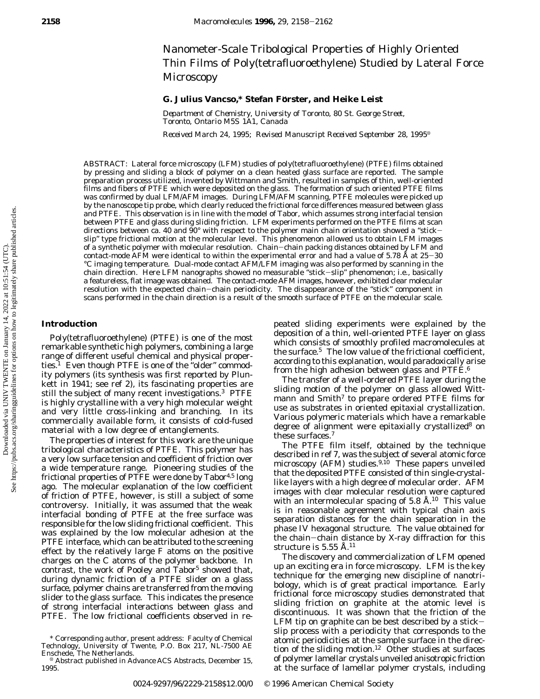# Nanometer-Scale Tribological Properties of Highly Oriented Thin Films of Poly(tetrafluoroethylene) Studied by Lateral Force **Microscopy**

# **G. Julius Vancso,\* Stefan Fo**1**rster, and Heike Leist**

*Department of Chemistry, University of Toronto, 80 St. George Street, Toronto, Ontario M5S 1A1, Canada*

*Received March 24, 1995; Revised Manuscript Received September 28, 1995*<sup>®</sup>

ABSTRACT: Lateral force microscopy (LFM) studies of poly(tetrafluoroethylene) (PTFE) films obtained by pressing and sliding a block of polymer on a clean heated glass surface are reported. The sample preparation process utilized, invented by Wittmann and Smith, resulted in samples of thin, well-oriented films and fibers of PTFE which were deposited on the glass. The formation of such oriented PTFE films was confirmed by dual LFM/AFM images. During LFM/AFM scanning, PTFE molecules were picked up by the nanoscope tip probe, which clearly reduced the frictional force differences measured between glass and PTFE. This observation is in line with the model of Tabor, which assumes strong interfacial tension between PTFE and glass during sliding friction. LFM experiments performed on the PTFE films at scan directions between ca. 40 and 90° with respect to the polymer main chain orientation showed a "stickslip" type frictional motion at the molecular level. This phenomenon allowed us to obtain LFM images of a synthetic polymer with molecular resolution. Chain-chain packing distances obtained by LFM and contact-mode  $\overline{AFM}$  were identical to within the experimental error and had a value of 5.78 Å at 25–30 °C imaging temperature. Dual-mode contact AFM/LFM imaging was also performed by scanning in the chain direction. Here LFM nanographs showed no measurable "stick-slip" phenomenon; i.e., basically a featureless, flat image was obtained. The contact-mode AFM images, however, exhibited clear molecular resolution with the expected chain-chain periodicity. The disappearance of the "stick" component in scans performed in the chain direction is a result of the smooth surface of PTFE on the molecular scale.

# **Introduction**

Poly(tetrafluoroethylene) (PTFE) is one of the most remarkable synthetic high polymers, combining a large range of different useful chemical and physical properties.1 Even though PTFE is one of the "older" commodity polymers (its synthesis was first reported by Plunkett in 1941; see ref 2), its fascinating properties are still the subject of many recent investigations.3 PTFE is highly crystalline with a very high molecular weight and very little cross-linking and branching. In its commercially available form, it consists of cold-fused material with a low degree of entanglements.

The properties of interest for this work are the unique tribological characteristics of PTFE. This polymer has a very low surface tension and coefficient of friction over a wide temperature range. Pioneering studies of the frictional properties of PTFE were done by Tabor<sup>4,5</sup> long ago. The molecular explanation of the low coefficient of friction of PTFE, however, is still a subject of some controversy. Initially, it was assumed that the weak interfacial bonding of PTFE at the free surface was responsible for the low sliding frictional coefficient. This was explained by the low molecular adhesion at the PTFE interface, which can be attributed to the screening effect by the relatively large F atoms on the positive charges on the C atoms of the polymer backbone. In contrast, the work of Pooley and Tabor<sup>5</sup> showed that, during dynamic friction of a PTFE slider on a glass surface, polymer chains are transferred from the moving slider to the glass surface. This indicates the presence of strong interfacial interactions between glass and PTFE. The low frictional coefficients observed in repeated sliding experiments were explained by the deposition of a thin, well-oriented PTFE layer on glass which consists of smoothly profiled macromolecules at the surface.5 The low value of the frictional coefficient, according to this explanation, would paradoxically arise from the high adhesion between glass and PTFE.6

The transfer of a well-ordered PTFE layer during the sliding motion of the polymer on glass allowed Wittmann and  $Smith<sup>7</sup>$  to prepare ordered PTFE films for use as substrates in oriented epitaxial crystallization. Various polymeric materials which have a remarkable degree of alignment were epitaxially crystallized<sup>8</sup> on these surfaces.7

The PTFE film itself, obtained by the technique described in ref 7, was the subject of several atomic force microscopy (AFM) studies.<sup>9,10</sup> These papers unveiled that the deposited PTFE consisted of thin single-crystallike layers with a high degree of molecular order. AFM images with clear molecular resolution were captured with an intermolecular spacing of 5.8 Å.<sup>10</sup> This value is in reasonable agreement with typical chain axis separation distances for the chain separation in the phase IV hexagonal structure. The value obtained for the chain-chain distance by X-ray diffraction for this structure is  $5.55 \text{ Å}.^{11}$ 

The discovery and commercialization of LFM opened up an exciting era in force microscopy. LFM is the key technique for the emerging new discipline of nanotribology, which is of great practical importance. Early frictional force microscopy studies demonstrated that sliding friction on graphite at the atomic level is discontinuous. It was shown that the friction of the LFM tip on graphite can be best described by a stick– slip process with a periodicity that corresponds to the atomic periodicities at the sample surface in the direction of the sliding motion.12 Other studies at surfaces of polymer lamellar crystals unveiled anisotropic friction at the surface of lamellar polymer crystals, including

<sup>\*</sup> Corresponding author, present address: Faculty of Chemical Technology, University of Twente, P.O. Box 217, NL-7500 AE

Enschede, The Netherlands. <sup>X</sup> Abstract published in *Advance ACS Abstracts,* December 15, 1995.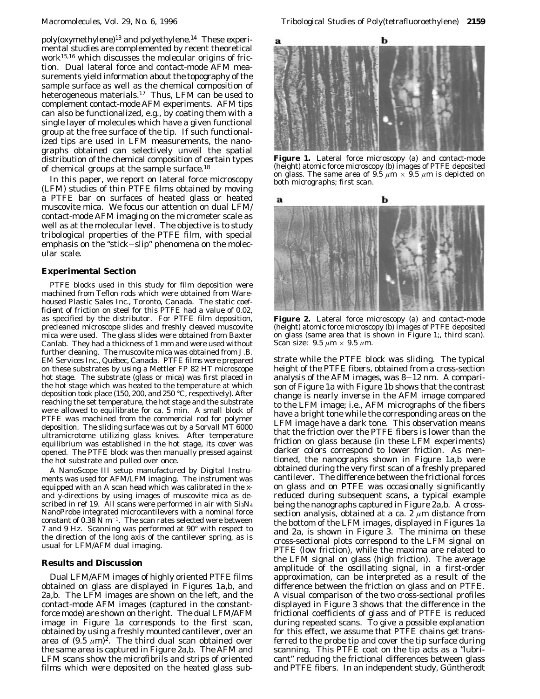poly(oxymethylene)<sup>13</sup> and polyethylene.<sup>14</sup> These experimental studies are complemented by recent theoretical work $15,16$  which discusses the molecular origins of friction. Dual lateral force and contact-mode AFM measurements yield information about the topography of the sample surface as well as the chemical composition of heterogeneous materials.17 Thus, LFM can be used to complement contact-mode AFM experiments. AFM tips can also be functionalized, e.g., by coating them with a single layer of molecules which have a given functional group at the free surface of the tip. If such functionalized tips are used in LFM measurements, the nanographs obtained can selectively unveil the spatial distribution of the chemical composition of certain types of chemical groups at the sample surface.<sup>18</sup>

In this paper, we report on lateral force microscopy (LFM) studies of thin PTFE films obtained by moving a PTFE bar on surfaces of heated glass or heated muscovite mica. We focus our attention on dual LFM/ contact-mode AFM imaging on the micrometer scale as well as at the molecular level. The objective is to study tribological properties of the PTFE film, with special emphasis on the "stick-slip" phenomena on the molecular scale.

### **Experimental Section**

PTFE blocks used in this study for film deposition were machined from Teflon rods which were obtained from Warehoused Plastic Sales Inc., Toronto, Canada. The static coefficient of friction on steel for this PTFE had a value of 0.02, as specified by the distributor. For PTFE film deposition, precleaned microscope slides and freshly cleaved muscovite mica were used. The glass slides were obtained from Baxter Canlab. They had a thickness of 1 mm and were used without further cleaning. The muscovite mica was obtained from J.B. EM Services Inc., Québec, Canada. PTFE films were prepared on these substrates by using a Mettler FP 82 HT microscope hot stage. The substrate (glass or mica) was first placed in the hot stage which was heated to the temperature at which deposition took place (150, 200, and 250 °C, respectively). After reaching the set temperature, the hot stage and the substrate were allowed to equilibrate for ca. 5 min. A small block of PTFE was machined from the commercial rod for polymer deposition. The sliding surface was cut by a Sorvall MT 6000 ultramicrotome utilizing glass knives. After temperature equilibrium was established in the hot stage, its cover was opened. The PTFE block was then manually pressed against the hot substrate and pulled over once.

A NanoScope III setup manufactured by Digital Instruments was used for AFM/LFM imaging. The instrument was equipped with an A scan head which was calibrated in the *x*and *y*-directions by using images of muscovite mica as described in ref 19. All scans were performed in air with Si<sub>3</sub>N<sub>4</sub> NanoProbe integrated microcantilevers with a nominal force constant of  $0.38 \text{ N m}^{-1}$ . The scan rates selected were between 7 and 9 Hz. Scanning was performed at 90° with respect to the direction of the long axis of the cantilever spring, as is usual for LFM/AFM dual imaging.

# **Results and Discussion**

Dual LFM/AFM images of highly oriented PTFE films obtained on glass are displayed in Figures 1a,b, and 2a,b. The LFM images are shown on the left, and the contact-mode AFM images (captured in the constantforce mode) are shown on the right. The dual LFM/AFM image in Figure 1a corresponds to the first scan, obtained by using a freshly mounted cantilever, over an area of  $(9.5 \mu m)^2$ . The third dual scan obtained over the same area is captured in Figure 2a,b. The AFM and LFM scans show the microfibrils and strips of oriented films which were deposited on the heated glass sub-



**Figure 1.** Lateral force microscopy (a) and contact-mode (height) atomic force microscopy (b) images of PTFE deposited on glass. The same area of  $9.5 \mu m \times 9.5 \mu m$  is depicted on both micrographs; first scan.



**Figure 2.** Lateral force microscopy (a) and contact-mode (height) atomic force microscopy (b) images of PTFE deposited on glass (same area that is shown in Figure 1;, third scan). Scan size:  $9.5 \mu m \times 9.5 \mu m$ .

strate while the PTFE block was sliding. The typical height of the PTFE fibers, obtained from a cross-section analysis of the AFM images, was  $8-12$  nm. A comparison of Figure 1a with Figure 1b shows that the contrast change is nearly inverse in the AFM image compared to the LFM image; i.e., AFM micrographs of the fibers have a bright tone while the corresponding areas on the LFM image have a dark tone. This observation means that the friction over the PTFE fibers is lower than the friction on glass because (in these LFM experiments) darker colors correspond to lower friction. As mentioned, the nanographs shown in Figure 1a,b were obtained during the very first scan of a freshly prepared cantilever. The difference between the frictional forces on glass and on PTFE was occasionally significantly reduced during subsequent scans, a typical example being the nanographs captured in Figure 2a,b. A crosssection analysis, obtained at a ca. 2 *µ*m distance from the bottom of the LFM images, displayed in Figures 1a and 2a, is shown in Figure 3. The minima on these cross-sectional plots correspond to the LFM signal on PTFE (low friction), while the maxima are related to the LFM signal on glass (high friction). The average amplitude of the oscillating signal, in a first-order approximation, can be interpreted as a result of the difference between the friction on glass and on PTFE. A visual comparison of the two cross-sectional profiles displayed in Figure 3 shows that the difference in the frictional coefficients of glass and of PTFE is reduced during repeated scans. To give a possible explanation for this effect, we assume that PTFE chains get transferred to the probe tip and cover the tip surface during scanning. This PTFE coat on the tip acts as a "lubricant" reducing the frictional differences between glass and PTFE fibers. In an independent study, Güntherodt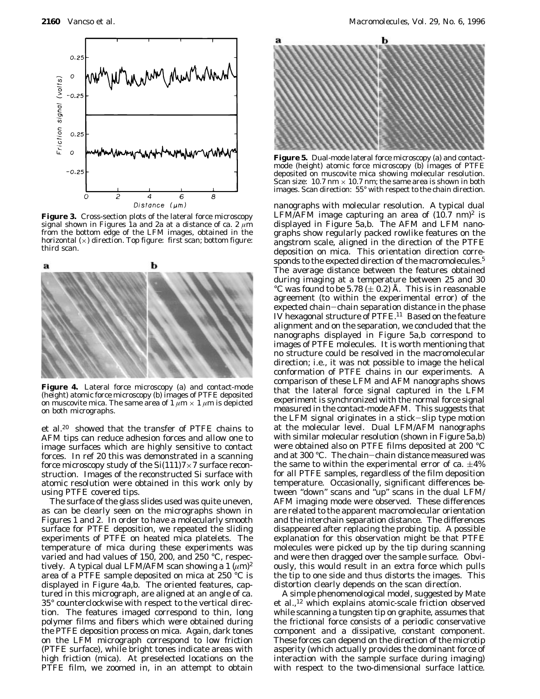

**Figure 3.** Cross-section plots of the lateral force microscopy signal shown in Figures 1a and 2a at a distance of ca. 2 *µ*m from the bottom edge of the LFM images, obtained in the horizontal  $(x)$  direction. Top figure: first scan; bottom figure: third scan.



**Figure 4.** Lateral force microscopy (a) and contact-mode (height) atomic force microscopy (b) images of PTFE deposited on muscovite mica. The same area of  $1 \mu m \times 1 \mu m$  is depicted on both micrographs.

et al.20 showed that the transfer of PTFE chains to AFM tips can reduce adhesion forces and allow one to image surfaces which are highly sensitive to contact forces. In ref 20 this was demonstrated in a scanning force microscopy study of the  $Si(111)7\times7$  surface reconstruction. Images of the reconstructed Si surface with atomic resolution were obtained in this work only by using PTFE covered tips.

The surface of the glass slides used was quite uneven, as can be clearly seen on the micrographs shown in Figures 1 and 2. In order to have a molecularly smooth surface for PTFE deposition, we repeated the sliding experiments of PTFE on heated mica platelets. The temperature of mica during these experiments was varied and had values of 150, 200, and 250 °C, respectively. A typical dual LFM/AFM scan showing a 1  $(\mu m)^2$ area of a PTFE sample deposited on mica at 250 °C is displayed in Figure 4a,b. The oriented features, captured in this micrograph, are aligned at an angle of ca. 35° counterclockwise with respect to the vertical direction. The features imaged correspond to thin, long polymer films and fibers which were obtained during the PTFE deposition process on mica. Again, dark tones on the LFM micrograph correspond to low friction (PTFE surface), while bright tones indicate areas with high friction (mica). At preselected locations on the PTFE film, we zoomed in, in an attempt to obtain



**Figure 5.** Dual-mode lateral force microscopy (a) and contactmode (height) atomic force microscopy (b) images of PTFE deposited on muscovite mica showing molecular resolution. Scan size:  $10.7 \text{ nm} \times 10.7 \text{ nm}$ ; the same area is shown in both images. Scan direction: 55° with respect to the chain direction.

nanographs with molecular resolution. A typical dual LFM/AFM image capturing an area of  $(10.7 \text{ nm})^2$  is displayed in Figure 5a,b. The AFM and LFM nanographs show regularly packed rowlike features on the angstrom scale, aligned in the direction of the PTFE deposition on mica. This orientation direction corresponds to the expected direction of the macromolecules.<sup>5</sup> The average distance between the features obtained during imaging at a temperature between 25 and 30  $\degree$ C was found to be 5.78 ( $\pm$  0.2) A. This is in reasonable agreement (to within the experimental error) of the expected chain-chain separation distance in the phase IV hexagonal structure of PTFE.11 Based on the feature alignment and on the separation, we concluded that the nanographs displayed in Figure 5a,b correspond to images of PTFE molecules. It is worth mentioning that no structure could be resolved in the macromolecular direction; i.e., it was not possible to image the helical conformation of PTFE chains in our experiments. A comparison of these LFM and AFM nanographs shows that the lateral force signal captured in the LFM experiment is synchronized with the normal force signal measured in the contact-mode AFM. This suggests that the LFM signal originates in a stick-slip type motion at the molecular level. Dual LFM/AFM nanographs with similar molecular resolution (shown in Figure 5a,b) were obtained also on PTFE films deposited at 200 °C and at 300 °C. The chain-chain distance measured was the same to within the experimental error of ca.  $\pm 4\%$ for all PTFE samples, regardless of the film deposition temperature. Occasionally, significant differences between "down" scans and "up" scans in the dual LFM/ AFM imaging mode were observed. These differences are related to the apparent macromolecular orientation and the interchain separation distance. The differences disappeared after replacing the probing tip. A possible explanation for this observation might be that PTFE molecules were picked up by the tip during scanning and were then dragged over the sample surface. Obviously, this would result in an extra force which pulls the tip to one side and thus distorts the images. This distortion clearly depends on the scan direction.

A simple phenomenological model, suggested by Mate et al.,12 which explains atomic-scale friction observed while scanning a tungsten tip on graphite, assumes that the frictional force consists of a periodic conservative component and a dissipative, constant component. These forces can depend on the direction of the microtip asperity (which actually provides the dominant force of interaction with the sample surface during imaging) with respect to the two-dimensional surface lattice.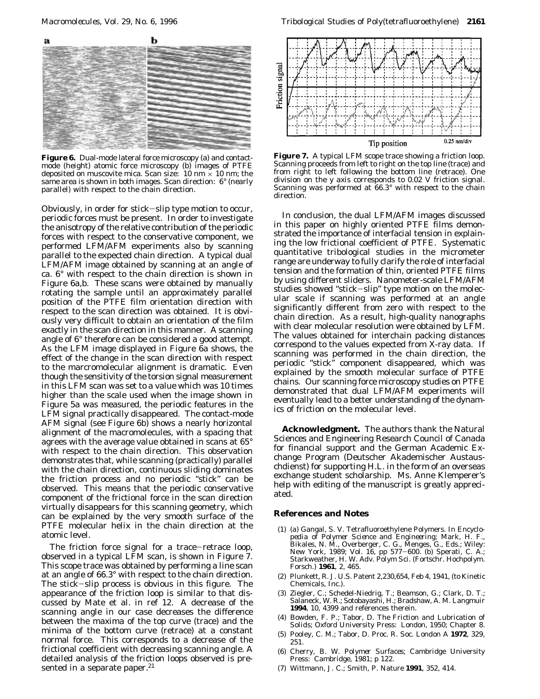

**Figure 6.** Dual-mode lateral force microscopy (a) and contactmode (height) atomic force microscopy (b) images of PTFE deposited on muscovite mica. Scan size: 10 nm  $\times$  10 nm; the same area is shown in both images. Scan direction: 6° (nearly parallel) with respect to the chain direction.

Obviously, in order for stick-slip type motion to occur, periodic forces must be present. In order to investigate the anisotropy of the relative contribution of the periodic forces with respect to the conservative component, we performed LFM/AFM experiments also by scanning parallel to the expected chain direction. A typical dual LFM/AFM image obtained by scanning at an angle of ca. 6° with respect to the chain direction is shown in Figure 6a,b. These scans were obtained by manually rotating the sample until an approximately parallel position of the PTFE film orientation direction with respect to the scan direction was obtained. It is obviously very difficult to obtain an orientation of the film exactly in the scan direction in this manner. A scanning angle of 6° therefore can be considered a good attempt. As the LFM image displayed in Figure 6a shows, the effect of the change in the scan direction with respect to the marcromolecular alignment is dramatic. Even though the sensitivity of the torsion signal measurement in this LFM scan was set to a value which was 10 times higher than the scale used when the image shown in Figure 5a was measured, the periodic features in the LFM signal practically disappeared. The contact-mode AFM signal (see Figure 6b) shows a nearly horizontal alignment of the macromolecules, with a spacing that agrees with the average value obtained in scans at 65° with respect to the chain direction. This observation demonstrates that, while scanning (practically) parallel with the chain direction, continuous sliding dominates the friction process and no periodic "stick" can be observed. This means that the periodic conservative component of the frictional force in the scan direction virtually disappears for this scanning geometry, which can be explained by the very smooth surface of the PTFE molecular helix in the chain direction at the atomic level.

The friction force signal for a trace-retrace loop, observed in a typical LFM scan, is shown in Figure 7. This scope trace was obtained by performing a line scan at an angle of 66.3° with respect to the chain direction. The stick-slip process is obvious in this figure. The appearance of the friction loop is similar to that discussed by Mate et al. in ref 12. A decrease of the scanning angle in our case decreases the difference between the maxima of the top curve (trace) and the minima of the bottom curve (retrace) at a constant normal force. This corresponds to a decrease of the frictional coefficient with decreasing scanning angle. A detailed analysis of the friction loops observed is presented in a separate paper.<sup>21</sup>



**Figure 7.** A typical LFM scope trace showing a friction loop. Scanning proceeds from left to right on the top line (trace) and from right to left following the bottom line (retrace). One division on the *y* axis corresponds to 0.02 V friction signal. Scanning was performed at 66.3° with respect to the chain direction.

In conclusion, the dual LFM/AFM images discussed in this paper on highly oriented PTFE films demonstrated the importance of interfacial tension in explaining the low frictional coefficient of PTFE. Systematic quantitative tribological studies in the micrometer range are underway to fully clarify the role of interfacial tension and the formation of thin, oriented PTFE films by using different sliders. Nanometer-scale LFM/AFM studies showed "stick-slip" type motion on the molecular scale if scanning was performed at an angle significantly different from zero with respect to the chain direction. As a result, high-quality nanographs with clear molecular resolution were obtained by LFM. The values obtained for interchain packing distances correspond to the values expected from X-ray data. If scanning was performed in the chain direction, the periodic "stick" component disappeared, which was explained by the smooth molecular surface of PTFE chains. Our scanning force microscopy studies on PTFE demonstrated that dual LFM/AFM experiments will eventually lead to a better understanding of the dynamics of friction on the molecular level.

**Acknowledgment.** The authors thank the Natural Sciences and Engineering Research Council of Canada for financial support and the German Academic Exchange Program (Deutscher Akademischer Austauschdienst) for supporting H.L. in the form of an overseas exchange student scholarship. Ms. Anne Klemperer's help with editing of the manuscript is greatly appreciated.

# **References and Notes**

- (1) (a) Gangal, S. V. Tetrafluoroethylene Polymers. In *Encyclopedia of Polymer Science and Engineering*; Mark, H. F., Bikales, N. M., Overberger, C. G., Menges, G., Eds.; Wiley: New York, 1989; Vol. 16, pp 577-600. (b) Sperati, C. A.; Starkweather, H. W. *Adv. Polym Sci. (Fortschr. Hochpolym. Forsch.)* **1961**, *2*, 465.
- (2) Plunkett, R. J. U.S. Patent 2,230,654, Feb 4, 1941, (to Kinetic Chemicals, Inc.).
- (3) Ziegler, C.; Schedel-Niedrig, T.; Beamson, G.; Clark, D. T.; Salaneck, W. R.; Sotobayashi, H.; Bradshaw, A. M. *Langmuir* **1994**, *10*, 4399 and references therein.
- (4) Bowden, F. P.; Tabor, D. *The Friction and Lubrication of Solids;* Oxford University Press: London, 1950; Chapter 8.
- (5) Pooley, C. M.; Tabor, D. *Proc. R. Soc. London A* **1972**, *329*, 251.
- (6) Cherry, B. W. *Polymer Surfaces;* Cambridge University Press: Cambridge, 1981; p 122.
- (7) Wittmann, J. C.; Smith, P. *Nature* **1991**, *352*, 414.